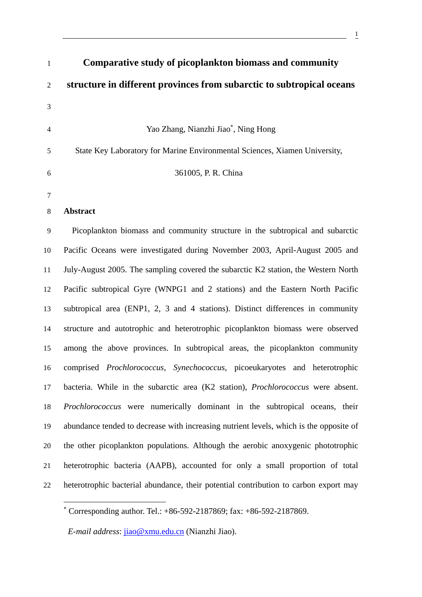| $\mathbf{1}$   | Comparative study of picoplankton biomass and community                                 |
|----------------|-----------------------------------------------------------------------------------------|
| $\overline{2}$ | structure in different provinces from subarctic to subtropical oceans                   |
| 3              |                                                                                         |
| $\overline{4}$ | Yao Zhang, Nianzhi Jiao*, Ning Hong                                                     |
| 5              | State Key Laboratory for Marine Environmental Sciences, Xiamen University,              |
| 6              | 361005, P. R. China                                                                     |
| $\tau$         |                                                                                         |
| 8              | <b>Abstract</b>                                                                         |
| 9              | Picoplankton biomass and community structure in the subtropical and subarctic           |
| 10             | Pacific Oceans were investigated during November 2003, April-August 2005 and            |
| 11             | July-August 2005. The sampling covered the subarctic K2 station, the Western North      |
| 12             | Pacific subtropical Gyre (WNPG1 and 2 stations) and the Eastern North Pacific           |
| 13             | subtropical area (ENP1, 2, 3 and 4 stations). Distinct differences in community         |
| 14             | structure and autotrophic and heterotrophic picoplankton biomass were observed          |
| 15             | among the above provinces. In subtropical areas, the picoplankton community             |
| 16             | comprised Prochlorococcus, Synechococcus, picoeukaryotes and heterotrophic              |
| 17             | bacteria. While in the subarctic area (K2 station), <i>Prochlorococcus</i> were absent. |
| 18             | Prochlorococcus were numerically dominant in the subtropical oceans, their              |
| 19             | abundance tended to decrease with increasing nutrient levels, which is the opposite of  |
| 20             | the other picoplankton populations. Although the aerobic anoxygenic phototrophic        |
| 21             | heterotrophic bacteria (AAPB), accounted for only a small proportion of total           |
| 22             | heterotrophic bacterial abundance, their potential contribution to carbon export may    |
|                |                                                                                         |

*E-mail address*: jiao@xmu.edu.cn (Nianzhi Jiao).

<sup>∗</sup> Corresponding author. Tel.: +86-592-2187869; fax: +86-592-2187869.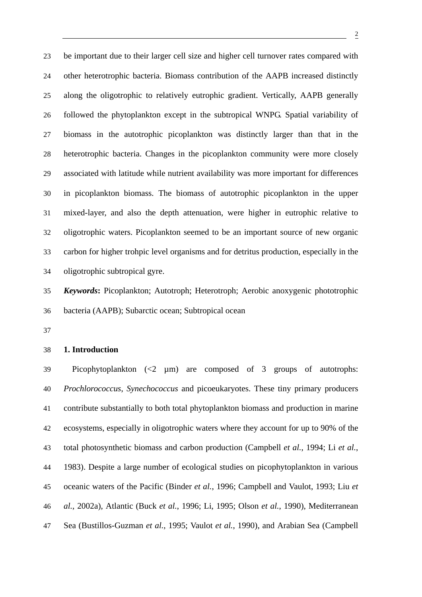23 be important due to their larger cell size and higher cell turnover rates compared with 24 other heterotrophic bacteria. Biomass contribution of the AAPB increased distinctly 25 along the oligotrophic to relatively eutrophic gradient. Vertically, AAPB generally 26 followed the phytoplankton except in the subtropical WNPG. Spatial variability of 27 biomass in the autotrophic picoplankton was distinctly larger than that in the 28 heterotrophic bacteria. Changes in the picoplankton community were more closely 29 associated with latitude while nutrient availability was more important for differences 30 in picoplankton biomass. The biomass of autotrophic picoplankton in the upper 31 mixed-layer, and also the depth attenuation, were higher in eutrophic relative to 32 oligotrophic waters. Picoplankton seemed to be an important source of new organic 33 carbon for higher trohpic level organisms and for detritus production, especially in the 34 oligotrophic subtropical gyre.

35 *Keywords***:** Picoplankton; Autotroph; Heterotroph; Aerobic anoxygenic phototrophic 36 bacteria (AAPB); Subarctic ocean; Subtropical ocean

37

#### 38 **1. Introduction**

39 Picophytoplankton (<2 µm) are composed of 3 groups of autotrophs: 40 *Prochlorococcus*, *Synechococcus* and picoeukaryotes. These tiny primary producers 41 contribute substantially to both total phytoplankton biomass and production in marine 42 ecosystems, especially in oligotrophic waters where they account for up to 90% of the 43 total photosynthetic biomass and carbon production (Campbell *et al.*, 1994; Li *et al.*, 44 1983). Despite a large number of ecological studies on picophytoplankton in various 45 oceanic waters of the Pacific (Binder *et al.*, 1996; Campbell and Vaulot, 1993; Liu *et*  46 *al.*, 2002a), Atlantic (Buck *et al.*, 1996; Li, 1995; Olson *et al.*, 1990), Mediterranean 47 Sea (Bustillos-Guzman *et al.*, 1995; Vaulot *et al.*, 1990), and Arabian Sea (Campbell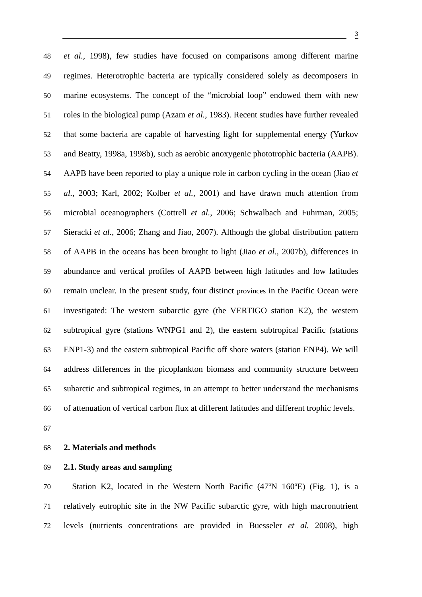48 *et al.*, 1998), few studies have focused on comparisons among different marine 49 regimes. Heterotrophic bacteria are typically considered solely as decomposers in 50 marine ecosystems. The concept of the "microbial loop" endowed them with new 51 roles in the biological pump (Azam *et al.*, 1983). Recent studies have further revealed 52 that some bacteria are capable of harvesting light for supplemental energy (Yurkov 53 and Beatty, 1998a, 1998b), such as aerobic anoxygenic phototrophic bacteria (AAPB). 54 AAPB have been reported to play a unique role in carbon cycling in the ocean (Jiao *et*  55 *al.*, 2003; Karl, 2002; Kolber *et al.*, 2001) and have drawn much attention from 56 microbial oceanographers (Cottrell *et al.*, 2006; Schwalbach and Fuhrman, 2005; 57 Sieracki *et al.*, 2006; Zhang and Jiao, 2007). Although the global distribution pattern 58 of AAPB in the oceans has been brought to light (Jiao *et al.*, 2007b), differences in 59 abundance and vertical profiles of AAPB between high latitudes and low latitudes 60 remain unclear. In the present study, four distinct provinces in the Pacific Ocean were 61 investigated: The western subarctic gyre (the VERTIGO station K2), the western 62 subtropical gyre (stations WNPG1 and 2), the eastern subtropical Pacific (stations 63 ENP1-3) and the eastern subtropical Pacific off shore waters (station ENP4). We will 64 address differences in the picoplankton biomass and community structure between 65 subarctic and subtropical regimes, in an attempt to better understand the mechanisms 66 of attenuation of vertical carbon flux at different latitudes and different trophic levels.

67

#### 68 **2. Materials and methods**

#### 69 **2.1. Study areas and sampling**

70 Station K2, located in the Western North Pacific (47ºN 160ºE) (Fig. 1), is a 71 relatively eutrophic site in the NW Pacific subarctic gyre, with high macronutrient 72 levels (nutrients concentrations are provided in Buesseler *et al.* 2008), high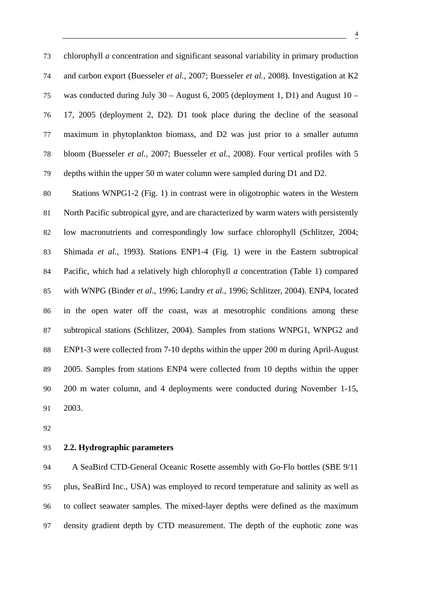73 chlorophyll *a* concentration and significant seasonal variability in primary production 74 and carbon export (Buesseler *et al.*, 2007; Buesseler *et al.*, 2008). Investigation at K2 75 was conducted during July 30 – August 6, 2005 (deployment 1, D1) and August 10 – 76 17, 2005 (deployment 2, D2). D1 took place during the decline of the seasonal 77 maximum in phytoplankton biomass, and D2 was just prior to a smaller autumn 78 bloom (Buesseler *et al.*, 2007; Buesseler *et al.*, 2008). Four vertical profiles with 5 79 depths within the upper 50 m water column were sampled during D1 and D2.

80 Stations WNPG1-2 (Fig. 1) in contrast were in oligotrophic waters in the Western 81 North Pacific subtropical gyre, and are characterized by warm waters with persistently 82 low macronutrients and correspondingly low surface chlorophyll (Schlitzer, 2004; 83 Shimada *et al.*, 1993). Stations ENP1-4 (Fig. 1) were in the Eastern subtropical 84 Pacific, which had a relatively high chlorophyll *a* concentration (Table 1) compared 85 with WNPG (Binder *et al.*, 1996; Landry *et al.*, 1996; Schlitzer, 2004). ENP4, located 86 in the open water off the coast, was at mesotrophic conditions among these 87 subtropical stations (Schlitzer, 2004). Samples from stations WNPG1, WNPG2 and 88 ENP1-3 were collected from 7-10 depths within the upper 200 m during April-August 89 2005. Samples from stations ENP4 were collected from 10 depths within the upper 90 200 m water column, and 4 deployments were conducted during November 1-15, 91 2003.

92

#### 93 **2.2. Hydrographic parameters**

94 A SeaBird CTD-General Oceanic Rosette assembly with Go-Flo bottles (SBE 9/11 95 plus, SeaBird Inc., USA) was employed to record temperature and salinity as well as 96 to collect seawater samples. The mixed-layer depths were defined as the maximum 97 density gradient depth by CTD measurement. The depth of the euphotic zone was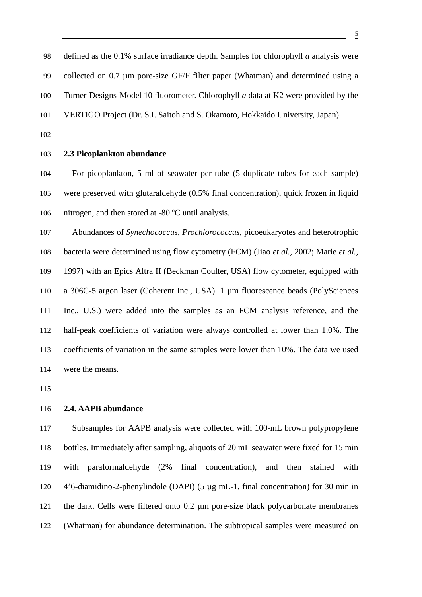98 defined as the 0.1% surface irradiance depth. Samples for chlorophyll *a* analysis were 99 collected on 0.7 µm pore-size GF/F filter paper (Whatman) and determined using a 100 Turner-Designs-Model 10 fluorometer. Chlorophyll *a* data at K2 were provided by the 101 VERTIGO Project (Dr. S.I. Saitoh and S. Okamoto, Hokkaido University, Japan).

102

#### 103 **2.3 Picoplankton abundance**

104 For picoplankton, 5 ml of seawater per tube (5 duplicate tubes for each sample) 105 were preserved with glutaraldehyde (0.5% final concentration), quick frozen in liquid 106 nitrogen, and then stored at -80 ºC until analysis.

107 Abundances of *Synechococcu*s, *Prochlorococcus*, picoeukaryotes and heterotrophic

108 bacteria were determined using flow cytometry (FCM) (Jiao *et al.*, 2002; Marie *et al.*, 109 1997) with an Epics Altra II (Beckman Coulter, USA) flow cytometer, equipped with 110 a 306C-5 argon laser (Coherent Inc., USA). 1 µm fluorescence beads (PolySciences

111 Inc., U.S.) were added into the samples as an FCM analysis reference, and the 112 half-peak coefficients of variation were always controlled at lower than 1.0%. The 113 coefficients of variation in the same samples were lower than 10%. The data we used 114 were the means.

115

#### 116 **2.4. AAPB abundance**

117 Subsamples for AAPB analysis were collected with 100-mL brown polypropylene 118 bottles. Immediately after sampling, aliquots of 20 mL seawater were fixed for 15 min 119 with paraformaldehyde (2% final concentration), and then stained with 120 4'6-diamidino-2-phenylindole (DAPI) (5 µg mL-1, final concentration) for 30 min in 121 the dark. Cells were filtered onto 0.2 µm pore-size black polycarbonate membranes 122 (Whatman) for abundance determination. The subtropical samples were measured on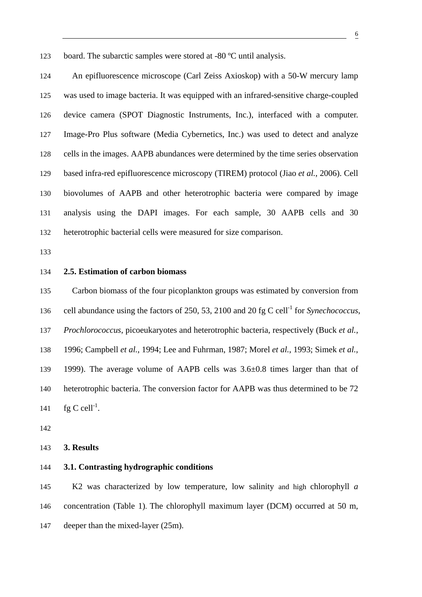123 board. The subarctic samples were stored at -80 ºC until analysis.

124 An epifluorescence microscope (Carl Zeiss Axioskop) with a 50-W mercury lamp 125 was used to image bacteria. It was equipped with an infrared-sensitive charge-coupled 126 device camera (SPOT Diagnostic Instruments, Inc.), interfaced with a computer. 127 Image-Pro Plus software (Media Cybernetics, Inc.) was used to detect and analyze 128 cells in the images. AAPB abundances were determined by the time series observation 129 based infra-red epifluorescence microscopy (TIREM) protocol (Jiao *et al.*, 2006). Cell 130 biovolumes of AAPB and other heterotrophic bacteria were compared by image 131 analysis using the DAPI images. For each sample, 30 AAPB cells and 30 132 heterotrophic bacterial cells were measured for size comparison.

133

#### 134 **2.5. Estimation of carbon biomass**

135 Carbon biomass of the four picoplankton groups was estimated by conversion from 136 cell abundance using the factors of 250, 53, 2100 and 20 fg C cell<sup>-1</sup> for *Synechococcus*, 137 *Prochlorococcus*, picoeukaryotes and heterotrophic bacteria, respectively (Buck *et al.*, 138 1996; Campbell *et al.*, 1994; Lee and Fuhrman, 1987; Morel *et al.*, 1993; Simek *et al.*, 139 1999). The average volume of AAPB cells was 3.6±0.8 times larger than that of 140 heterotrophic bacteria. The conversion factor for AAPB was thus determined to be 72 141  $\text{fg } C \text{ cell}^{-1}$ .

142

#### 143 **3. Results**

#### 144 **3.1. Contrasting hydrographic conditions**

145 K2 was characterized by low temperature, low salinity and high chlorophyll *a* 146 concentration (Table 1). The chlorophyll maximum layer (DCM) occurred at 50 m, 147 deeper than the mixed-layer (25m).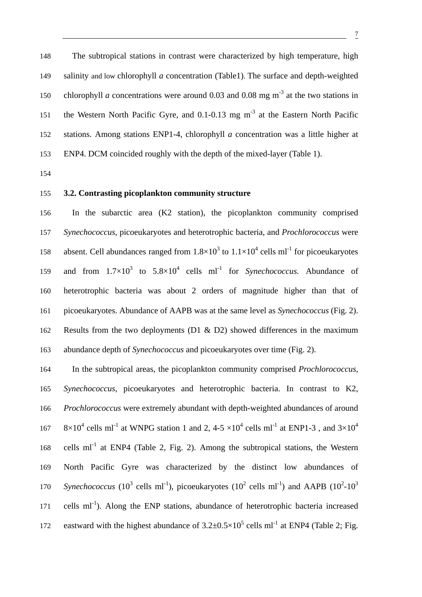148 The subtropical stations in contrast were characterized by high temperature, high 149 salinity and low chlorophyll *a* concentration (Table1). The surface and depth-weighted 150 chlorophyll *a* concentrations were around 0.03 and 0.08 mg  $m^{-3}$  at the two stations in 151 the Western North Pacific Gyre, and  $0.1$ - $0.13$  mg m<sup>-3</sup> at the Eastern North Pacific 152 stations. Among stations ENP1-4, chlorophyll *a* concentration was a little higher at 153 ENP4. DCM coincided roughly with the depth of the mixed-layer (Table 1).

154

#### 155 **3.2. Contrasting picoplankton community structure**

156 In the subarctic area (K2 station), the picoplankton community comprised 157 *Synechococcus*, picoeukaryotes and heterotrophic bacteria, and *Prochlorococcus* were 158 absent. Cell abundances ranged from  $1.8 \times 10^3$  to  $1.1 \times 10^4$  cells ml<sup>-1</sup> for picoeukaryotes 159 and from  $1.7 \times 10^3$  to  $5.8 \times 10^4$  cells ml<sup>-1</sup> for *Synechococcus*. Abundance of 160 heterotrophic bacteria was about 2 orders of magnitude higher than that of 161 picoeukaryotes. Abundance of AAPB was at the same level as *Synechococcus* (Fig. 2). 162 Results from the two deployments (D1 & D2) showed differences in the maximum 163 abundance depth of *Synechococcus* and picoeukaryotes over time (Fig. 2).

164 In the subtropical areas, the picoplankton community comprised *Prochlorococcus*, 165 *Synechococcus*, picoeukaryotes and heterotrophic bacteria. In contrast to K2, 166 *Prochlorococcus* were extremely abundant with depth-weighted abundances of around 167  $8 \times 10^4$  cells ml<sup>-1</sup> at WNPG station 1 and 2, 4-5  $\times 10^4$  cells ml<sup>-1</sup> at ENP1-3, and 3 $\times 10^4$ 168 cells m $I^1$  at ENP4 (Table 2, Fig. 2). Among the subtropical stations, the Western 169 North Pacific Gyre was characterized by the distinct low abundances of 170 *Synechococcus* (10<sup>3</sup> cells ml<sup>-1</sup>), picoeukaryotes (10<sup>2</sup> cells ml<sup>-1</sup>) and AAPB (10<sup>2</sup>-10<sup>3</sup>  $171$  cells ml<sup>-1</sup>). Along the ENP stations, abundance of heterotrophic bacteria increased 172 eastward with the highest abundance of  $3.2 \pm 0.5 \times 10^5$  cells ml<sup>-1</sup> at ENP4 (Table 2; Fig.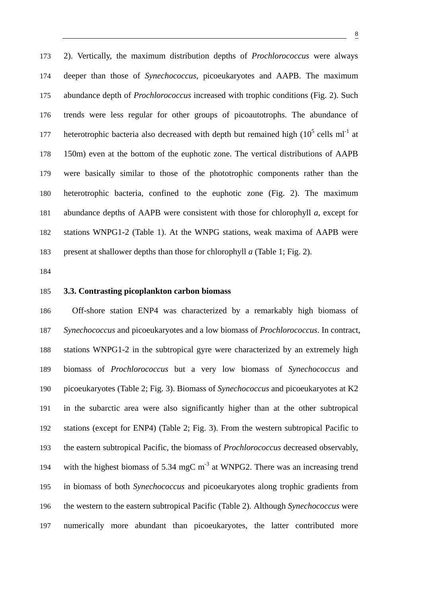173 2). Vertically, the maximum distribution depths of *Prochlorococcus* were always 174 deeper than those of *Synechococcus*, picoeukaryotes and AAPB. The maximum 175 abundance depth of *Prochlorococcus* increased with trophic conditions (Fig. 2). Such 176 trends were less regular for other groups of picoautotrophs. The abundance of 177 heterotrophic bacteria also decreased with depth but remained high  $(10^5 \text{ cells ml}^{-1})$  at 178 150m) even at the bottom of the euphotic zone. The vertical distributions of AAPB 179 were basically similar to those of the phototrophic components rather than the 180 heterotrophic bacteria, confined to the euphotic zone (Fig. 2). The maximum 181 abundance depths of AAPB were consistent with those for chlorophyll *a*, except for 182 stations WNPG1-2 (Table 1). At the WNPG stations, weak maxima of AAPB were 183 present at shallower depths than those for chlorophyll *a* (Table 1; Fig. 2).

184

#### 185 **3.3. Contrasting picoplankton carbon biomass**

186 Off-shore station ENP4 was characterized by a remarkably high biomass of 187 *Synechococcus* and picoeukaryotes and a low biomass of *Prochlorococcus*. In contract, 188 stations WNPG1-2 in the subtropical gyre were characterized by an extremely high 189 biomass of *Prochlorococcus* but a very low biomass of *Synechococcus* and 190 picoeukaryotes (Table 2; Fig. 3). Biomass of *Synechococcus* and picoeukaryotes at K2 191 in the subarctic area were also significantly higher than at the other subtropical 192 stations (except for ENP4) (Table 2; Fig. 3). From the western subtropical Pacific to 193 the eastern subtropical Pacific, the biomass of *Prochlorococcus* decreased observably, 194 with the highest biomass of 5.34 mgC  $m<sup>-3</sup>$  at WNPG2. There was an increasing trend 195 in biomass of both *Synechococcus* and picoeukaryotes along trophic gradients from 196 the western to the eastern subtropical Pacific (Table 2). Although *Synechococcus* were 197 numerically more abundant than picoeukaryotes, the latter contributed more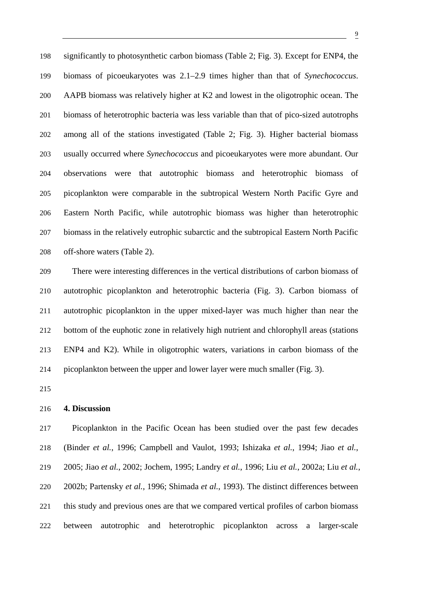198 significantly to photosynthetic carbon biomass (Table 2; Fig. 3). Except for ENP4, the 199 biomass of picoeukaryotes was 2.1–2.9 times higher than that of *Synechococcus*. 200 AAPB biomass was relatively higher at K2 and lowest in the oligotrophic ocean. The 201 biomass of heterotrophic bacteria was less variable than that of pico-sized autotrophs 202 among all of the stations investigated (Table 2; Fig. 3). Higher bacterial biomass 203 usually occurred where *Synechococcus* and picoeukaryotes were more abundant. Our 204 observations were that autotrophic biomass and heterotrophic biomass of 205 picoplankton were comparable in the subtropical Western North Pacific Gyre and 206 Eastern North Pacific, while autotrophic biomass was higher than heterotrophic 207 biomass in the relatively eutrophic subarctic and the subtropical Eastern North Pacific 208 off-shore waters (Table 2).

209 There were interesting differences in the vertical distributions of carbon biomass of 210 autotrophic picoplankton and heterotrophic bacteria (Fig. 3). Carbon biomass of 211 autotrophic picoplankton in the upper mixed-layer was much higher than near the 212 bottom of the euphotic zone in relatively high nutrient and chlorophyll areas (stations 213 ENP4 and K2). While in oligotrophic waters, variations in carbon biomass of the 214 picoplankton between the upper and lower layer were much smaller (Fig. 3).

215

#### 216 **4. Discussion**

217 Picoplankton in the Pacific Ocean has been studied over the past few decades 218 (Binder *et al.*, 1996; Campbell and Vaulot, 1993; Ishizaka *et al.*, 1994; Jiao *et al.*, 219 2005; Jiao *et al.*, 2002; Jochem, 1995; Landry *et al.*, 1996; Liu *et al.*, 2002a; Liu *et al.*, 220 2002b; Partensky *et al.*, 1996; Shimada *et al.*, 1993). The distinct differences between 221 this study and previous ones are that we compared vertical profiles of carbon biomass 222 between autotrophic and heterotrophic picoplankton across a larger-scale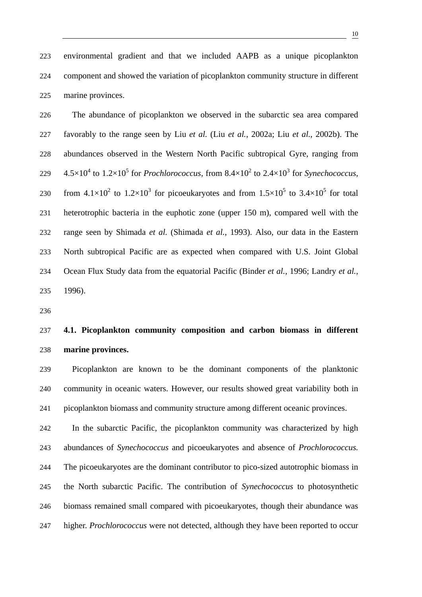223 environmental gradient and that we included AAPB as a unique picoplankton 224 component and showed the variation of picoplankton community structure in different 225 marine provinces.

226 The abundance of picoplankton we observed in the subarctic sea area compared 227 favorably to the range seen by Liu *et al.* (Liu *et al.*, 2002a; Liu *et al.*, 2002b). The 228 abundances observed in the Western North Pacific subtropical Gyre, ranging from 229  $4.5 \times 10^4$  to  $1.2 \times 10^5$  for *Prochlorococcus*, from  $8.4 \times 10^2$  to  $2.4 \times 10^3$  for *Synechococcus*, 230 from  $4.1 \times 10^2$  to  $1.2 \times 10^3$  for picoeukaryotes and from  $1.5 \times 10^5$  to  $3.4 \times 10^5$  for total 231 heterotrophic bacteria in the euphotic zone (upper 150 m), compared well with the 232 range seen by Shimada *et al.* (Shimada *et al.*, 1993). Also, our data in the Eastern 233 North subtropical Pacific are as expected when compared with U.S. Joint Global 234 Ocean Flux Study data from the equatorial Pacific (Binder *et al.*, 1996; Landry *et al.*, 235 1996).

236

# 237 **4.1. Picoplankton community composition and carbon biomass in different**  238 **marine provinces.**

239 Picoplankton are known to be the dominant components of the planktonic 240 community in oceanic waters. However, our results showed great variability both in 241 picoplankton biomass and community structure among different oceanic provinces.

242 In the subarctic Pacific, the picoplankton community was characterized by high 243 abundances of *Synechococcus* and picoeukaryotes and absence of *Prochlorococcus.* 244 The picoeukaryotes are the dominant contributor to pico-sized autotrophic biomass in 245 the North subarctic Pacific. The contribution of *Synechococcus* to photosynthetic 246 biomass remained small compared with picoeukaryotes, though their abundance was 247 higher. *Prochlorococcus* were not detected, although they have been reported to occur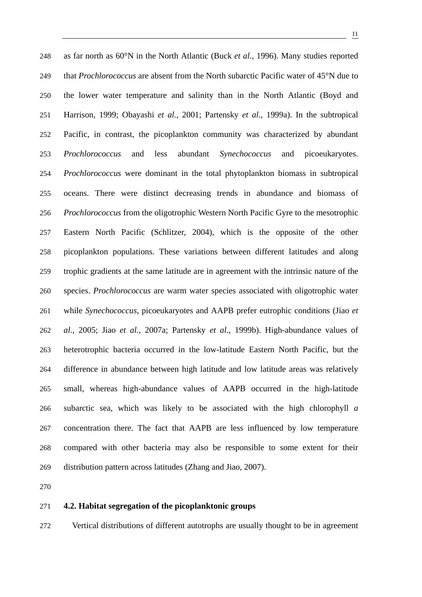248 as far north as 60°N in the North Atlantic (Buck *et al.*, 1996). Many studies reported 249 that *Prochlorococcus* are absent from the North subarctic Pacific water of 45°N due to 250 the lower water temperature and salinity than in the North Atlantic (Boyd and 251 Harrison, 1999; Obayashi *et al.*, 2001; Partensky *et al.*, 1999a). In the subtropical 252 Pacific, in contrast, the picoplankton community was characterized by abundant 253 *Prochlorococcus* and less abundant *Synechococcus* and picoeukaryotes. 254 *Prochlorococcus* were dominant in the total phytoplankton biomass in subtropical 255 oceans. There were distinct decreasing trends in abundance and biomass of 256 *Prochlorococcus* from the oligotrophic Western North Pacific Gyre to the mesotrophic 257 Eastern North Pacific (Schlitzer, 2004), which is the opposite of the other 258 picoplankton populations. These variations between different latitudes and along 259 trophic gradients at the same latitude are in agreement with the intrinsic nature of the 260 species. *Prochlorococcus* are warm water species associated with oligotrophic water 261 while *Synechococcus*, picoeukaryotes and AAPB prefer eutrophic conditions (Jiao *et*  262 *al.*, 2005; Jiao *et al.*, 2007a; Partensky *et al.*, 1999b). High-abundance values of 263 heterotrophic bacteria occurred in the low-latitude Eastern North Pacific, but the 264 difference in abundance between high latitude and low latitude areas was relatively 265 small, whereas high-abundance values of AAPB occurred in the high-latitude 266 subarctic sea, which was likely to be associated with the high chlorophyll *a* 267 concentration there. The fact that AAPB are less influenced by low temperature 268 compared with other bacteria may also be responsible to some extent for their 269 distribution pattern across latitudes (Zhang and Jiao, 2007).

270

#### 271 **4.2. Habitat segregation of the picoplanktonic groups**

272 Vertical distributions of different autotrophs are usually thought to be in agreement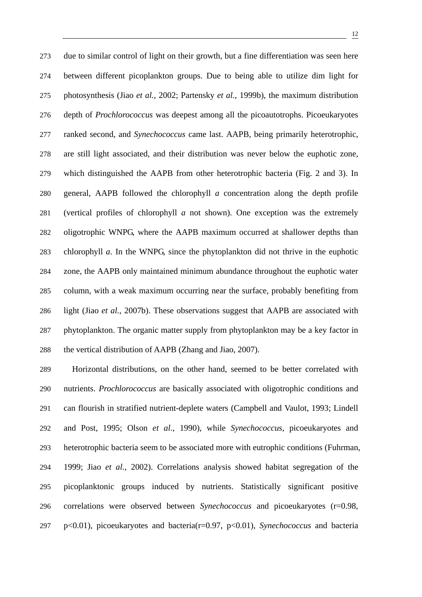273 due to similar control of light on their growth, but a fine differentiation was seen here 274 between different picoplankton groups. Due to being able to utilize dim light for 275 photosynthesis (Jiao *et al.*, 2002; Partensky *et al.*, 1999b), the maximum distribution 276 depth of *Prochlorococcus* was deepest among all the picoautotrophs. Picoeukaryotes 277 ranked second, and *Synechococcus* came last. AAPB, being primarily heterotrophic, 278 are still light associated, and their distribution was never below the euphotic zone, 279 which distinguished the AAPB from other heterotrophic bacteria (Fig. 2 and 3). In 280 general, AAPB followed the chlorophyll *a* concentration along the depth profile 281 (vertical profiles of chlorophyll *a* not shown). One exception was the extremely 282 oligotrophic WNPG, where the AAPB maximum occurred at shallower depths than 283 chlorophyll *a*. In the WNPG, since the phytoplankton did not thrive in the euphotic 284 zone, the AAPB only maintained minimum abundance throughout the euphotic water 285 column, with a weak maximum occurring near the surface, probably benefiting from 286 light (Jiao *et al.*, 2007b). These observations suggest that AAPB are associated with 287 phytoplankton. The organic matter supply from phytoplankton may be a key factor in 288 the vertical distribution of AAPB (Zhang and Jiao, 2007).

289 Horizontal distributions, on the other hand, seemed to be better correlated with 290 nutrients. *Prochlorococcus* are basically associated with oligotrophic conditions and 291 can flourish in stratified nutrient-deplete waters (Campbell and Vaulot, 1993; Lindell 292 and Post, 1995; Olson *et al.*, 1990), while *Synechococcus*, picoeukaryotes and 293 heterotrophic bacteria seem to be associated more with eutrophic conditions (Fuhrman, 294 1999; Jiao *et al.*, 2002). Correlations analysis showed habitat segregation of the 295 picoplanktonic groups induced by nutrients. Statistically significant positive 296 correlations were observed between *Synechococcus* and picoeukaryotes (r=0.98, 297 p<0.01), picoeukaryotes and bacteria(r=0.97, p<0.01), *Synechococcus* and bacteria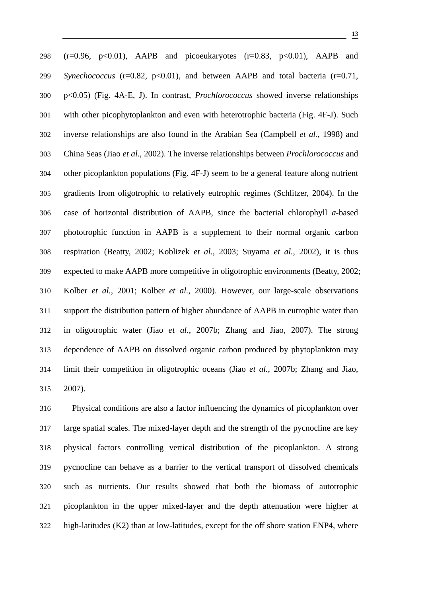298 ( $r=0.96$ ,  $p<0.01$ ), AAPB and picoeukaryotes ( $r=0.83$ ,  $p<0.01$ ), AAPB and 299 *Synechococcus* (r=0.82, p<0.01), and between AAPB and total bacteria (r=0.71, 300 p<0.05) (Fig. 4A-E, J). In contrast, *Prochlorococcus* showed inverse relationships 301 with other picophytoplankton and even with heterotrophic bacteria (Fig. 4F-J). Such 302 inverse relationships are also found in the Arabian Sea (Campbell *et al.*, 1998) and 303 China Seas (Jiao *et al.*, 2002). The inverse relationships between *Prochlorococcus* and 304 other picoplankton populations (Fig. 4F-J) seem to be a general feature along nutrient 305 gradients from oligotrophic to relatively eutrophic regimes (Schlitzer, 2004). In the 306 case of horizontal distribution of AAPB, since the bacterial chlorophyll *a*-based 307 phototrophic function in AAPB is a supplement to their normal organic carbon 308 respiration (Beatty, 2002; Koblizek *et al.*, 2003; Suyama *et al.*, 2002), it is thus 309 expected to make AAPB more competitive in oligotrophic environments (Beatty, 2002; 310 Kolber *et al.*, 2001; Kolber *et al.*, 2000). However, our large-scale observations 311 support the distribution pattern of higher abundance of AAPB in eutrophic water than 312 in oligotrophic water (Jiao *et al.*, 2007b; Zhang and Jiao, 2007). The strong 313 dependence of AAPB on dissolved organic carbon produced by phytoplankton may 314 limit their competition in oligotrophic oceans (Jiao *et al.*, 2007b; Zhang and Jiao, 315 2007).

316 Physical conditions are also a factor influencing the dynamics of picoplankton over 317 large spatial scales. The mixed-layer depth and the strength of the pycnocline are key 318 physical factors controlling vertical distribution of the picoplankton. A strong 319 pycnocline can behave as a barrier to the vertical transport of dissolved chemicals 320 such as nutrients. Our results showed that both the biomass of autotrophic 321 picoplankton in the upper mixed-layer and the depth attenuation were higher at 322 high-latitudes (K2) than at low-latitudes, except for the off shore station ENP4, where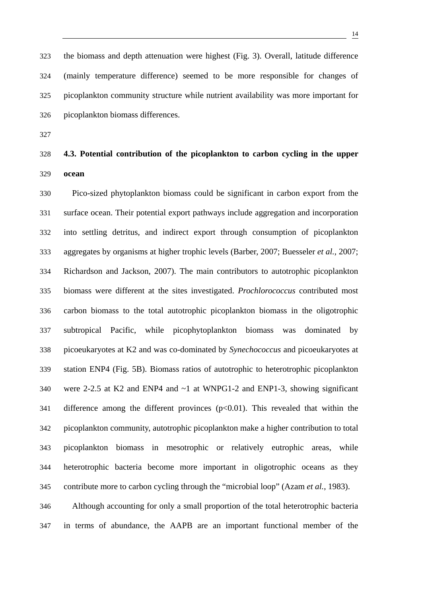323 the biomass and depth attenuation were highest (Fig. 3). Overall, latitude difference 324 (mainly temperature difference) seemed to be more responsible for changes of 325 picoplankton community structure while nutrient availability was more important for 326 picoplankton biomass differences.

327

# 328 **4.3. Potential contribution of the picoplankton to carbon cycling in the upper**  329 **ocean**

330 Pico-sized phytoplankton biomass could be significant in carbon export from the 331 surface ocean. Their potential export pathways include aggregation and incorporation 332 into settling detritus, and indirect export through consumption of picoplankton 333 aggregates by organisms at higher trophic levels (Barber, 2007; Buesseler *et al.*, 2007; 334 Richardson and Jackson, 2007). The main contributors to autotrophic picoplankton 335 biomass were different at the sites investigated. *Prochlorococcus* contributed most 336 carbon biomass to the total autotrophic picoplankton biomass in the oligotrophic 337 subtropical Pacific, while picophytoplankton biomass was dominated by 338 picoeukaryotes at K2 and was co-dominated by *Synechococcus* and picoeukaryotes at 339 station ENP4 (Fig. 5B). Biomass ratios of autotrophic to heterotrophic picoplankton 340 were 2-2.5 at K2 and ENP4 and ~1 at WNPG1-2 and ENP1-3, showing significant 341 difference among the different provinces  $(p<0.01)$ . This revealed that within the 342 picoplankton community, autotrophic picoplankton make a higher contribution to total 343 picoplankton biomass in mesotrophic or relatively eutrophic areas, while 344 heterotrophic bacteria become more important in oligotrophic oceans as they 345 contribute more to carbon cycling through the "microbial loop" (Azam *et al.*, 1983). 346 Although accounting for only a small proportion of the total heterotrophic bacteria

347 in terms of abundance, the AAPB are an important functional member of the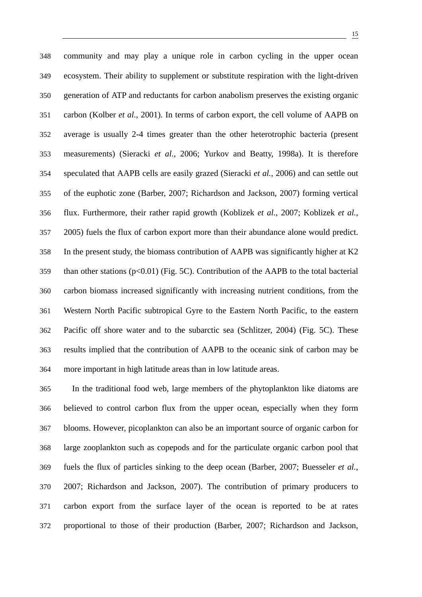348 community and may play a unique role in carbon cycling in the upper ocean 349 ecosystem. Their ability to supplement or substitute respiration with the light-driven 350 generation of ATP and reductants for carbon anabolism preserves the existing organic 351 carbon (Kolber *et al.*, 2001). In terms of carbon export, the cell volume of AAPB on 352 average is usually 2-4 times greater than the other heterotrophic bacteria (present 353 measurements) (Sieracki *et al.*, 2006; Yurkov and Beatty, 1998a). It is therefore 354 speculated that AAPB cells are easily grazed (Sieracki *et al.*, 2006) and can settle out 355 of the euphotic zone (Barber, 2007; Richardson and Jackson, 2007) forming vertical 356 flux. Furthermore, their rather rapid growth (Koblizek *et al.*, 2007; Koblizek *et al.*, 357 2005) fuels the flux of carbon export more than their abundance alone would predict. 358 In the present study, the biomass contribution of AAPB was significantly higher at K2 359 than other stations (p<0.01) (Fig. 5C). Contribution of the AAPB to the total bacterial 360 carbon biomass increased significantly with increasing nutrient conditions, from the 361 Western North Pacific subtropical Gyre to the Eastern North Pacific, to the eastern 362 Pacific off shore water and to the subarctic sea (Schlitzer, 2004) (Fig. 5C). These 363 results implied that the contribution of AAPB to the oceanic sink of carbon may be 364 more important in high latitude areas than in low latitude areas.

365 In the traditional food web, large members of the phytoplankton like diatoms are 366 believed to control carbon flux from the upper ocean, especially when they form 367 blooms. However, picoplankton can also be an important source of organic carbon for 368 large zooplankton such as copepods and for the particulate organic carbon pool that 369 fuels the flux of particles sinking to the deep ocean (Barber, 2007; Buesseler *et al.*, 370 2007; Richardson and Jackson, 2007). The contribution of primary producers to 371 carbon export from the surface layer of the ocean is reported to be at rates 372 proportional to those of their production (Barber, 2007; Richardson and Jackson,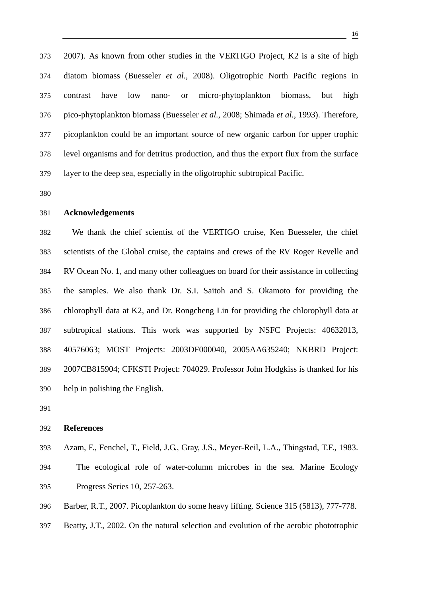373 2007). As known from other studies in the VERTIGO Project, K2 is a site of high 374 diatom biomass (Buesseler *et al.*, 2008). Oligotrophic North Pacific regions in 375 contrast have low nano- or micro-phytoplankton biomass, but high 376 pico-phytoplankton biomass (Buesseler *et al.*, 2008; Shimada *et al.*, 1993). Therefore, 377 picoplankton could be an important source of new organic carbon for upper trophic 378 level organisms and for detritus production, and thus the export flux from the surface 379 layer to the deep sea, especially in the oligotrophic subtropical Pacific.

380

#### 381 **Acknowledgements**

382 We thank the chief scientist of the VERTIGO cruise, Ken Buesseler, the chief 383 scientists of the Global cruise, the captains and crews of the RV Roger Revelle and 384 RV Ocean No. 1, and many other colleagues on board for their assistance in collecting 385 the samples. We also thank Dr. S.I. Saitoh and S. Okamoto for providing the 386 chlorophyll data at K2, and Dr. Rongcheng Lin for providing the chlorophyll data at 387 subtropical stations. This work was supported by NSFC Projects: 40632013, 388 40576063; MOST Projects: 2003DF000040, 2005AA635240; NKBRD Project: 389 2007CB815904; CFKSTI Project: 704029. Professor John Hodgkiss is thanked for his 390 help in polishing the English.

391

#### 392 **References**

393 Azam, F., Fenchel, T., Field, J.G., Gray, J.S., Meyer-Reil, L.A., Thingstad, T.F., 1983. 394 The ecological role of water-column microbes in the sea. Marine Ecology 395 Progress Series 10, 257-263.

396 Barber, R.T., 2007. Picoplankton do some heavy lifting. Science 315 (5813), 777-778.

397 Beatty, J.T., 2002. On the natural selection and evolution of the aerobic phototrophic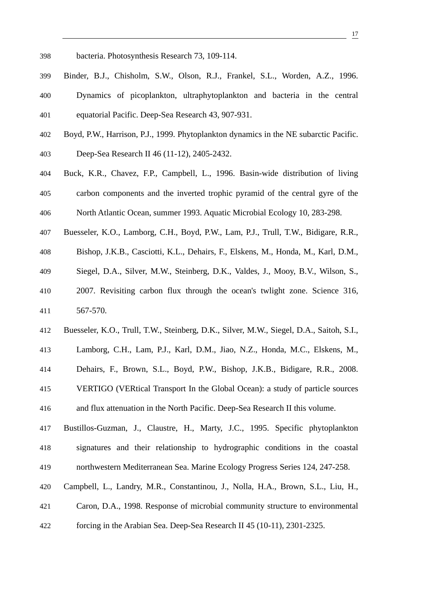- 398 bacteria. Photosynthesis Research 73, 109-114.
- 399 Binder, B.J., Chisholm, S.W., Olson, R.J., Frankel, S.L., Worden, A.Z., 1996. 400 Dynamics of picoplankton, ultraphytoplankton and bacteria in the central 401 equatorial Pacific. Deep-Sea Research 43, 907-931.
- 402 Boyd, P.W., Harrison, P.J., 1999. Phytoplankton dynamics in the NE subarctic Pacific. 403 Deep-Sea Research II 46 (11-12), 2405-2432.
- 404 Buck, K.R., Chavez, F.P., Campbell, L., 1996. Basin-wide distribution of living 405 carbon components and the inverted trophic pyramid of the central gyre of the 406 North Atlantic Ocean, summer 1993. Aquatic Microbial Ecology 10, 283-298.
- 407 Buesseler, K.O., Lamborg, C.H., Boyd, P.W., Lam, P.J., Trull, T.W., Bidigare, R.R.,
- 408 Bishop, J.K.B., Casciotti, K.L., Dehairs, F., Elskens, M., Honda, M., Karl, D.M.,
- 409 Siegel, D.A., Silver, M.W., Steinberg, D.K., Valdes, J., Mooy, B.V., Wilson, S.,
- 410 2007. Revisiting carbon flux through the ocean's twlight zone. Science 316, 411 567-570.
- 412 Buesseler, K.O., Trull, T.W., Steinberg, D.K., Silver, M.W., Siegel, D.A., Saitoh, S.I.,
- 413 Lamborg, C.H., Lam, P.J., Karl, D.M., Jiao, N.Z., Honda, M.C., Elskens, M.,
- 414 Dehairs, F., Brown, S.L., Boyd, P.W., Bishop, J.K.B., Bidigare, R.R., 2008.
- 415 VERTIGO (VERtical Transport In the Global Ocean): a study of particle sources 416 and flux attenuation in the North Pacific. Deep-Sea Research II this volume.
- 417 Bustillos-Guzman, J., Claustre, H., Marty, J.C., 1995. Specific phytoplankton 418 signatures and their relationship to hydrographic conditions in the coastal 419 northwestern Mediterranean Sea. Marine Ecology Progress Series 124, 247-258.
- 420 Campbell, L., Landry, M.R., Constantinou, J., Nolla, H.A., Brown, S.L., Liu, H.,
- 421 Caron, D.A., 1998. Response of microbial community structure to environmental
- 422 forcing in the Arabian Sea. Deep-Sea Research II 45 (10-11), 2301-2325.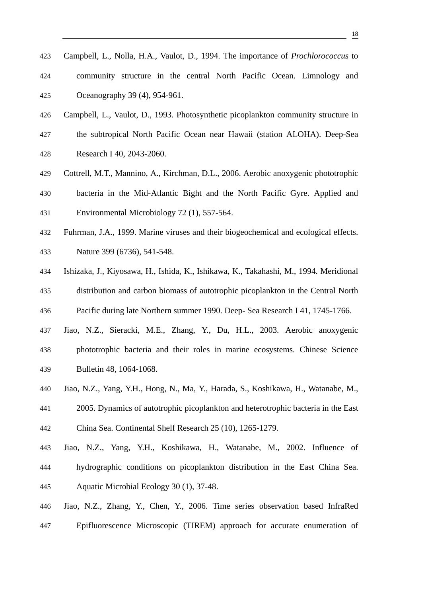- 426 Campbell, L., Vaulot, D., 1993. Photosynthetic picoplankton community structure in 427 the subtropical North Pacific Ocean near Hawaii (station ALOHA). Deep-Sea 428 Research I 40, 2043-2060.
- 429 Cottrell, M.T., Mannino, A., Kirchman, D.L., 2006. Aerobic anoxygenic phototrophic 430 bacteria in the Mid-Atlantic Bight and the North Pacific Gyre. Applied and 431 Environmental Microbiology 72 (1), 557-564.
- 432 Fuhrman, J.A., 1999. Marine viruses and their biogeochemical and ecological effects. 433 Nature 399 (6736), 541-548.
- 434 Ishizaka, J., Kiyosawa, H., Ishida, K., Ishikawa, K., Takahashi, M., 1994. Meridional 435 distribution and carbon biomass of autotrophic picoplankton in the Central North 436 Pacific during late Northern summer 1990. Deep- Sea Research I 41, 1745-1766.
- 437 Jiao, N.Z., Sieracki, M.E., Zhang, Y., Du, H.L., 2003. Aerobic anoxygenic 438 phototrophic bacteria and their roles in marine ecosystems. Chinese Science 439 Bulletin 48, 1064-1068.
- 440 Jiao, N.Z., Yang, Y.H., Hong, N., Ma, Y., Harada, S., Koshikawa, H., Watanabe, M., 441 2005. Dynamics of autotrophic picoplankton and heterotrophic bacteria in the East 442 China Sea. Continental Shelf Research 25 (10), 1265-1279.
- 443 Jiao, N.Z., Yang, Y.H., Koshikawa, H., Watanabe, M., 2002. Influence of 444 hydrographic conditions on picoplankton distribution in the East China Sea. 445 Aquatic Microbial Ecology 30 (1), 37-48.
- 446 Jiao, N.Z., Zhang, Y., Chen, Y., 2006. Time series observation based InfraRed 447 Epifluorescence Microscopic (TIREM) approach for accurate enumeration of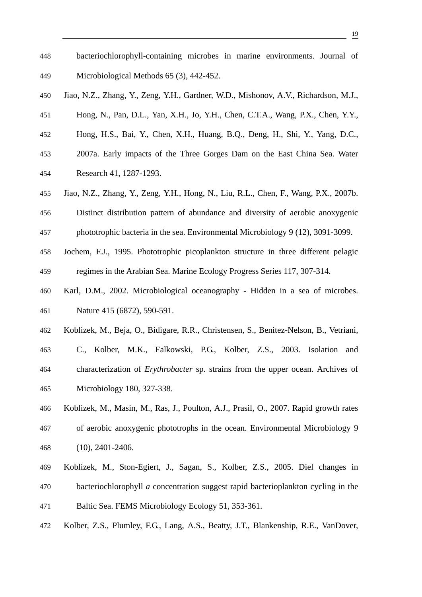- 448 bacteriochlorophyll-containing microbes in marine environments. Journal of 449 Microbiological Methods 65 (3), 442-452.
- 450 Jiao, N.Z., Zhang, Y., Zeng, Y.H., Gardner, W.D., Mishonov, A.V., Richardson, M.J.,
- 451 Hong, N., Pan, D.L., Yan, X.H., Jo, Y.H., Chen, C.T.A., Wang, P.X., Chen, Y.Y.,
- 452 Hong, H.S., Bai, Y., Chen, X.H., Huang, B.Q., Deng, H., Shi, Y., Yang, D.C.,
- 453 2007a. Early impacts of the Three Gorges Dam on the East China Sea. Water 454 Research 41, 1287-1293.
- 455 Jiao, N.Z., Zhang, Y., Zeng, Y.H., Hong, N., Liu, R.L., Chen, F., Wang, P.X., 2007b.
- 456 Distinct distribution pattern of abundance and diversity of aerobic anoxygenic 457 phototrophic bacteria in the sea. Environmental Microbiology 9 (12), 3091-3099.
- 458 Jochem, F.J., 1995. Phototrophic picoplankton structure in three different pelagic 459 regimes in the Arabian Sea. Marine Ecology Progress Series 117, 307-314.
- 460 Karl, D.M., 2002. Microbiological oceanography Hidden in a sea of microbes. 461 Nature 415 (6872), 590-591.
- 462 Koblizek, M., Beja, O., Bidigare, R.R., Christensen, S., Benitez-Nelson, B., Vetriani,
- 463 C., Kolber, M.K., Falkowski, P.G., Kolber, Z.S., 2003. Isolation and 464 characterization of *Erythrobacter* sp. strains from the upper ocean. Archives of 465 Microbiology 180, 327-338.
- 466 Koblizek, M., Masin, M., Ras, J., Poulton, A.J., Prasil, O., 2007. Rapid growth rates 467 of aerobic anoxygenic phototrophs in the ocean. Environmental Microbiology 9 468 (10), 2401-2406.
- 469 Koblizek, M., Ston-Egiert, J., Sagan, S., Kolber, Z.S., 2005. Diel changes in 470 bacteriochlorophyll *a* concentration suggest rapid bacterioplankton cycling in the 471 Baltic Sea. FEMS Microbiology Ecology 51, 353-361.
- 472 Kolber, Z.S., Plumley, F.G., Lang, A.S., Beatty, J.T., Blankenship, R.E., VanDover,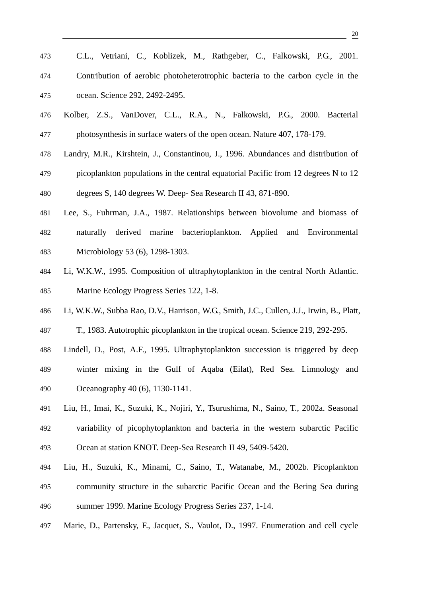- 476 Kolber, Z.S., VanDover, C.L., R.A., N., Falkowski, P.G., 2000. Bacterial 477 photosynthesis in surface waters of the open ocean. Nature 407, 178-179.
- 478 Landry, M.R., Kirshtein, J., Constantinou, J., 1996. Abundances and distribution of 479 picoplankton populations in the central equatorial Pacific from 12 degrees N to 12 480 degrees S, 140 degrees W. Deep- Sea Research II 43, 871-890.
- 481 Lee, S., Fuhrman, J.A., 1987. Relationships between biovolume and biomass of 482 naturally derived marine bacterioplankton. Applied and Environmental 483 Microbiology 53 (6), 1298-1303.
- 484 Li, W.K.W., 1995. Composition of ultraphytoplankton in the central North Atlantic. 485 Marine Ecology Progress Series 122, 1-8.
- 486 Li, W.K.W., Subba Rao, D.V., Harrison, W.G., Smith, J.C., Cullen, J.J., Irwin, B., Platt,

487 T., 1983. Autotrophic picoplankton in the tropical ocean. Science 219, 292-295.

- 488 Lindell, D., Post, A.F., 1995. Ultraphytoplankton succession is triggered by deep
- 489 winter mixing in the Gulf of Aqaba (Eilat), Red Sea. Limnology and 490 Oceanography 40 (6), 1130-1141.
- 491 Liu, H., Imai, K., Suzuki, K., Nojiri, Y., Tsurushima, N., Saino, T., 2002a. Seasonal 492 variability of picophytoplankton and bacteria in the western subarctic Pacific 493 Ocean at station KNOT. Deep-Sea Research II 49, 5409-5420.
- 494 Liu, H., Suzuki, K., Minami, C., Saino, T., Watanabe, M., 2002b. Picoplankton 495 community structure in the subarctic Pacific Ocean and the Bering Sea during 496 summer 1999. Marine Ecology Progress Series 237, 1-14.
- 497 Marie, D., Partensky, F., Jacquet, S., Vaulot, D., 1997. Enumeration and cell cycle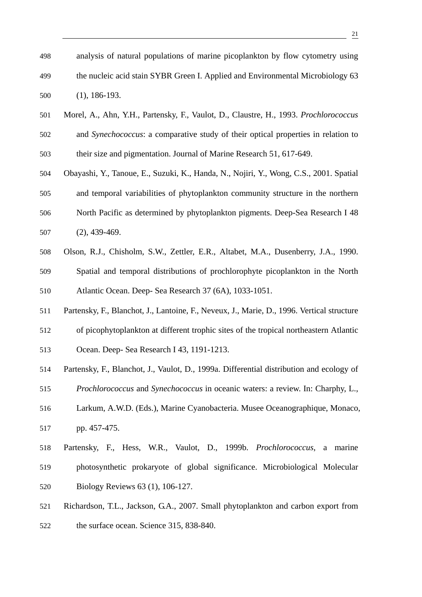- 501 Morel, A., Ahn, Y.H., Partensky, F., Vaulot, D., Claustre, H., 1993. *Prochlorococcus* 502 and *Synechococcus*: a comparative study of their optical properties in relation to 503 their size and pigmentation. Journal of Marine Research 51, 617-649.
- 504 Obayashi, Y., Tanoue, E., Suzuki, K., Handa, N., Nojiri, Y., Wong, C.S., 2001. Spatial 505 and temporal variabilities of phytoplankton community structure in the northern 506 North Pacific as determined by phytoplankton pigments. Deep-Sea Research I 48 507 (2), 439-469.
- 508 Olson, R.J., Chisholm, S.W., Zettler, E.R., Altabet, M.A., Dusenberry, J.A., 1990. 509 Spatial and temporal distributions of prochlorophyte picoplankton in the North 510 Atlantic Ocean. Deep- Sea Research 37 (6A), 1033-1051.
- 511 Partensky, F., Blanchot, J., Lantoine, F., Neveux, J., Marie, D., 1996. Vertical structure
- 512 of picophytoplankton at different trophic sites of the tropical northeastern Atlantic
- 513 Ocean. Deep- Sea Research I 43, 1191-1213.

500 (1), 186-193.

- 514 Partensky, F., Blanchot, J., Vaulot, D., 1999a. Differential distribution and ecology of
- 515 *Prochlorococcus* and *Synechococcus* in oceanic waters: a review. In: Charphy, L.,
- 516 Larkum, A.W.D. (Eds.), Marine Cyanobacteria. Musee Oceanographique, Monaco, 517 pp. 457-475.
- 518 Partensky, F., Hess, W.R., Vaulot, D., 1999b. *Prochlorococcus*, a marine 519 photosynthetic prokaryote of global significance. Microbiological Molecular 520 Biology Reviews 63 (1), 106-127.
- 521 Richardson, T.L., Jackson, G.A., 2007. Small phytoplankton and carbon export from
- 522 the surface ocean. Science 315, 838-840.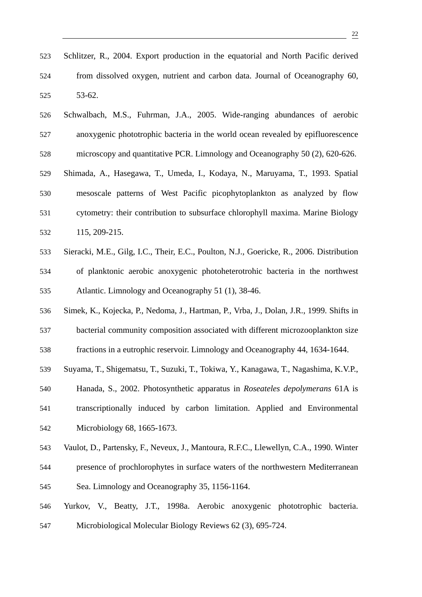- 526 Schwalbach, M.S., Fuhrman, J.A., 2005. Wide-ranging abundances of aerobic 527 anoxygenic phototrophic bacteria in the world ocean revealed by epifluorescence 528 microscopy and quantitative PCR. Limnology and Oceanography 50 (2), 620-626. 529 Shimada, A., Hasegawa, T., Umeda, I., Kodaya, N., Maruyama, T., 1993. Spatial
- 530 mesoscale patterns of West Pacific picophytoplankton as analyzed by flow 531 cytometry: their contribution to subsurface chlorophyll maxima. Marine Biology 532 115, 209-215.
- 533 Sieracki, M.E., Gilg, I.C., Their, E.C., Poulton, N.J., Goericke, R., 2006. Distribution 534 of planktonic aerobic anoxygenic photoheterotrohic bacteria in the northwest 535 Atlantic. Limnology and Oceanography 51 (1), 38-46.
- 536 Simek, K., Kojecka, P., Nedoma, J., Hartman, P., Vrba, J., Dolan, J.R., 1999. Shifts in 537 bacterial community composition associated with different microzooplankton size
- 538 fractions in a eutrophic reservoir. Limnology and Oceanography 44, 1634-1644.
- 539 Suyama, T., Shigematsu, T., Suzuki, T., Tokiwa, Y., Kanagawa, T., Nagashima, K.V.P.,
- 540 Hanada, S., 2002. Photosynthetic apparatus in *Roseateles depolymerans* 61A is 541 transcriptionally induced by carbon limitation. Applied and Environmental 542 Microbiology 68, 1665-1673.
- 543 Vaulot, D., Partensky, F., Neveux, J., Mantoura, R.F.C., Llewellyn, C.A., 1990. Winter
- 544 presence of prochlorophytes in surface waters of the northwestern Mediterranean 545 Sea. Limnology and Oceanography 35, 1156-1164.
- 546 Yurkov, V., Beatty, J.T., 1998a. Aerobic anoxygenic phototrophic bacteria.
- 547 Microbiological Molecular Biology Reviews 62 (3), 695-724.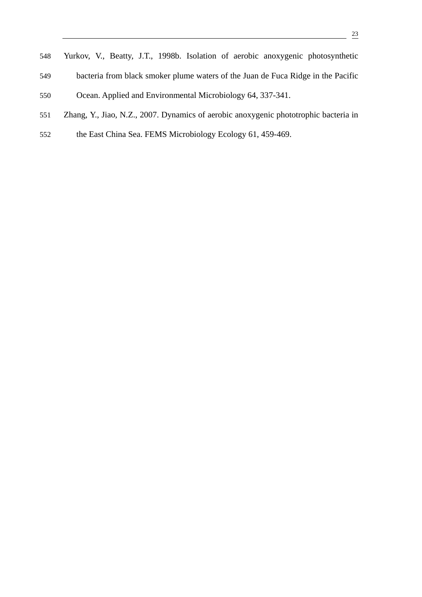- 548 Yurkov, V., Beatty, J.T., 1998b. Isolation of aerobic anoxygenic photosynthetic
- 549 bacteria from black smoker plume waters of the Juan de Fuca Ridge in the Pacific
- 550 Ocean. Applied and Environmental Microbiology 64, 337-341.
- 551 Zhang, Y., Jiao, N.Z., 2007. Dynamics of aerobic anoxygenic phototrophic bacteria in
- 552 the East China Sea. FEMS Microbiology Ecology 61, 459-469.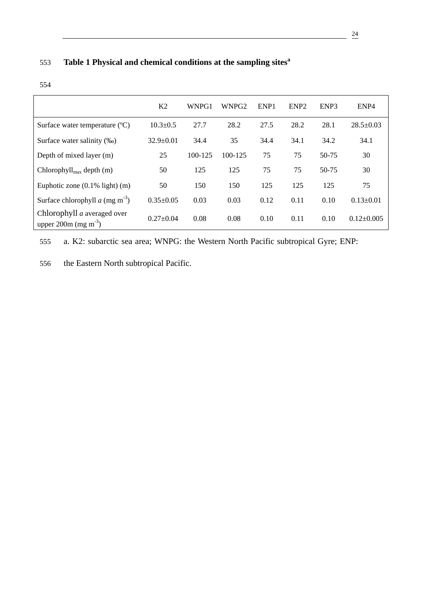## **Table 1 Physical and chemical conditions at the sampling sites<sup>a</sup>** 553

| . .<br>. .        |  |
|-------------------|--|
| ۰,<br>I<br>×<br>× |  |

|                                                                   | K <sub>2</sub>  | WNPG1   | WNPG <sub>2</sub> | ENP <sub>1</sub> | ENP <sub>2</sub> | ENP3      | ENP <sub>4</sub> |
|-------------------------------------------------------------------|-----------------|---------|-------------------|------------------|------------------|-----------|------------------|
| Surface water temperature (°C)                                    | $10.3 \pm 0.5$  | 27.7    | 28.2              | 27.5             | 28.2             | 28.1      | $28.5 \pm 0.03$  |
| Surface water salinity (‰)                                        | $32.9 \pm 0.01$ | 34.4    | 35                | 34.4             | 34.1             | 34.2      | 34.1             |
| Depth of mixed layer (m)                                          | 25              | 100-125 | 100-125           | 75               | 75               | $50 - 75$ | 30               |
| Chlorophyll <sub>max</sub> depth $(m)$                            | 50              | 125     | 125               | 75               | 75               | $50-75$   | 30               |
| Euphotic zone $(0.1\%$ light) $(m)$                               | 50              | 150     | 150               | 125              | 125              | 125       | 75               |
| Surface chlorophyll $a$ (mg m <sup>-3</sup> )                     | $0.35 \pm 0.05$ | 0.03    | 0.03              | 0.12             | 0.11             | 0.10      | $0.13 \pm 0.01$  |
| Chlorophyll $a$ averaged over<br>upper 200m (mg m <sup>-3</sup> ) | $0.27 \pm 0.04$ | 0.08    | 0.08              | 0.10             | 0.11             | 0.10      | $0.12 \pm 0.005$ |

555 a. K2: subarctic sea area; WNPG: the Western North Pacific subtropical Gyre; ENP:

556 the Eastern North subtropical Pacific.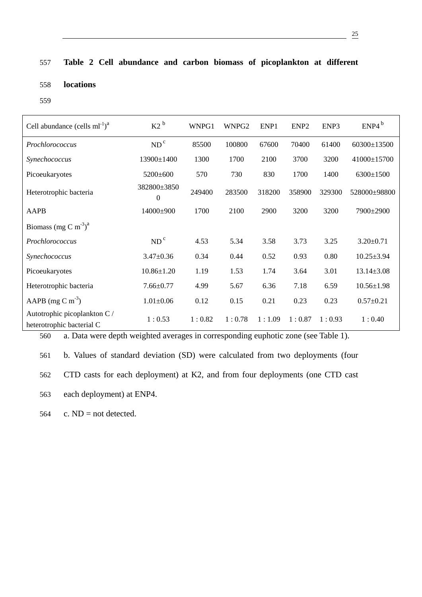## 557 **Table 2 Cell abundance and carbon biomass of picoplankton at different**

### 558 **locations**

559

| Cell abundance $\text{(cells ml}^{-1})^a$                 | $K2^b$                  | WNPG1  | WNPG <sub>2</sub> | ENP1   | ENP <sub>2</sub> | ENP3   | ENP4 <sup>b</sup> |
|-----------------------------------------------------------|-------------------------|--------|-------------------|--------|------------------|--------|-------------------|
| Prochlorococcus                                           | ND <sup>c</sup>         | 85500  | 100800            | 67600  | 70400            | 61400  | 60300±13500       |
| Synechococcus                                             | 13900±1400              | 1300   | 1700              | 2100   | 3700             | 3200   | 41000±15700       |
| Picoeukaryotes                                            | 5200±600                | 570    | 730               | 830    | 1700             | 1400   | 6300±1500         |
| Heterotrophic bacteria                                    | 382800±3850<br>$\theta$ | 249400 | 283500            | 318200 | 358900           | 329300 | 528000±98800      |
| AAPB                                                      | 14000±900               | 1700   | 2100              | 2900   | 3200             | 3200   | 7900±2900         |
| Biomass (mg C m <sup>-3</sup> ) <sup>a</sup>              |                         |        |                   |        |                  |        |                   |
| Prochlorococcus                                           | ND <sup>c</sup>         | 4.53   | 5.34              | 3.58   | 3.73             | 3.25   | $3.20 \pm 0.71$   |
| Synechococcus                                             | $3.47 \pm 0.36$         | 0.34   | 0.44              | 0.52   | 0.93             | 0.80   | $10.25 \pm 3.94$  |
| Picoeukaryotes                                            | $10.86 \pm 1.20$        | 1.19   | 1.53              | 1.74   | 3.64             | 3.01   | $13.14 \pm 3.08$  |
| Heterotrophic bacteria                                    | $7.66 \pm 0.77$         | 4.99   | 5.67              | 6.36   | 7.18             | 6.59   | $10.56 \pm 1.98$  |
| AAPB (mg C m <sup>-3</sup> )                              | $1.01 \pm 0.06$         | 0.12   | 0.15              | 0.21   | 0.23             | 0.23   | $0.57 \pm 0.21$   |
| Autotrophic picoplankton C /<br>heterotrophic bacterial C | 1:0.53                  | 1:0.82 | 1:0.78            | 1:1.09 | 1:0.87           | 1:0.93 | 1:0.40            |

560 a. Data were depth weighted averages in corresponding euphotic zone (see Table 1).

561 b. Values of standard deviation (SD) were calculated from two deployments (four 562 CTD casts for each deployment) at K2, and from four deployments (one CTD cast 563 each deployment) at ENP4.

564 c.  $ND = not detected$ .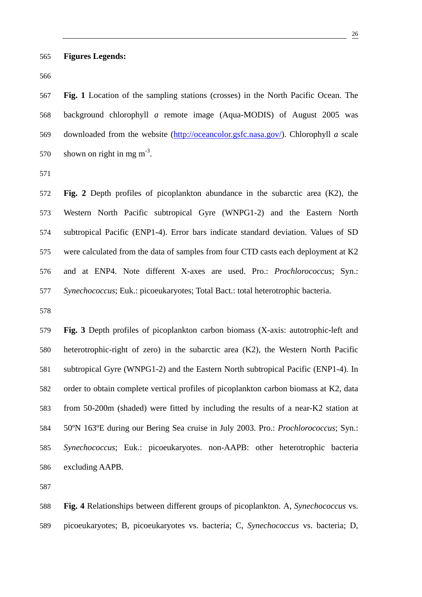567 **Fig. 1** Location of the sampling stations (crosses) in the North Pacific Ocean. The 568 background chlorophyll *a* remote image (Aqua-MODIS) of August 2005 was 569 downloaded from the website (http://oceancolor.gsfc.nasa.gov/). Chlorophyll *a* scale 570 shown on right in mg  $m<sup>-3</sup>$ .

571

572 **Fig. 2** Depth profiles of picoplankton abundance in the subarctic area (K2), the 573 Western North Pacific subtropical Gyre (WNPG1-2) and the Eastern North 574 subtropical Pacific (ENP1-4). Error bars indicate standard deviation. Values of SD 575 were calculated from the data of samples from four CTD casts each deployment at K2 576 and at ENP4. Note different X-axes are used. Pro.: *Prochlorococcus*; Syn.: 577 *Synechococcus*; Euk.: picoeukaryotes; Total Bact.: total heterotrophic bacteria.

578

579 **Fig. 3** Depth profiles of picoplankton carbon biomass (X-axis: autotrophic-left and 580 heterotrophic-right of zero) in the subarctic area (K2), the Western North Pacific 581 subtropical Gyre (WNPG1-2) and the Eastern North subtropical Pacific (ENP1-4). In 582 order to obtain complete vertical profiles of picoplankton carbon biomass at K2, data 583 from 50-200m (shaded) were fitted by including the results of a near-K2 station at 584 50ºN 163ºE during our Bering Sea cruise in July 2003. Pro.: *Prochlorococcus*; Syn.: 585 *Synechococcus*; Euk.: picoeukaryotes. non-AAPB: other heterotrophic bacteria 586 excluding AAPB.

587

588 **Fig. 4** Relationships between different groups of picoplankton. A, *Synechococcus* vs. 589 picoeukaryotes; B, picoeukaryotes vs. bacteria; C, *Synechococcus* vs. bacteria; D,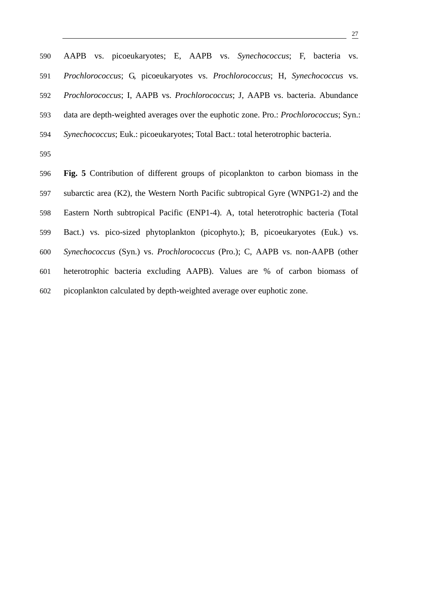| 590 | AAPB vs. picoeukaryotes; E, AAPB vs. Synechococcus; F, bacteria vs.                           |
|-----|-----------------------------------------------------------------------------------------------|
| 591 | Prochlorococcus; G, picoeukaryotes vs. Prochlorococcus; H, Synechococcus vs.                  |
| 592 | Prochlorococcus; I, AAPB vs. Prochlorococcus; J, AAPB vs. bacteria. Abundance                 |
| 593 | data are depth-weighted averages over the euphotic zone. Pro.: <i>Prochlorococcus</i> ; Syn.: |
| 594 | Synechococcus; Euk.: picoeukaryotes; Total Bact.: total heterotrophic bacteria.               |
| 595 |                                                                                               |
| 596 | Fig. 5 Contribution of different groups of picoplankton to carbon biomass in the              |
| 597 | subarctic area (K2), the Western North Pacific subtropical Gyre (WNPG1-2) and the             |
| 598 | Eastern North subtropical Pacific (ENP1-4). A, total heterotrophic bacteria (Total            |
| 599 | Bact.) vs. pico-sized phytoplankton (picophyto.); B, picoeukaryotes (Euk.) vs.                |
| 600 | Synechococcus (Syn.) vs. Prochlorococcus (Pro.); C, AAPB vs. non-AAPB (other                  |
| 601 | heterotrophic bacteria excluding AAPB). Values are % of carbon biomass of                     |
| 602 | picoplankton calculated by depth-weighted average over euphotic zone.                         |

<u>27</u>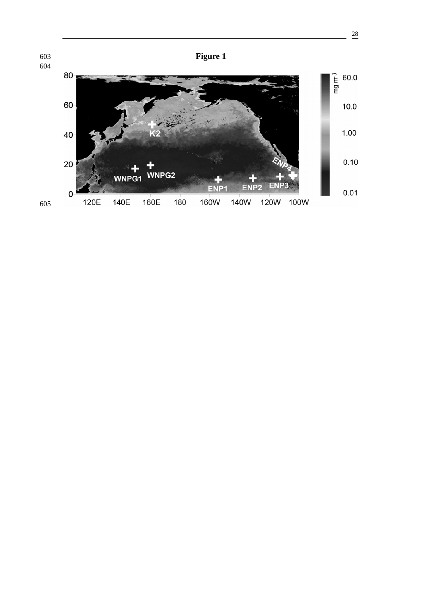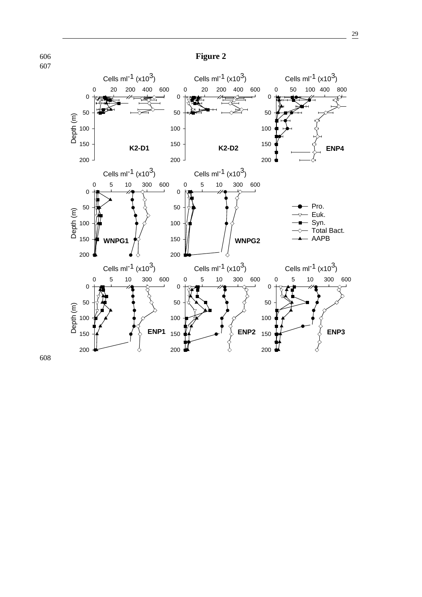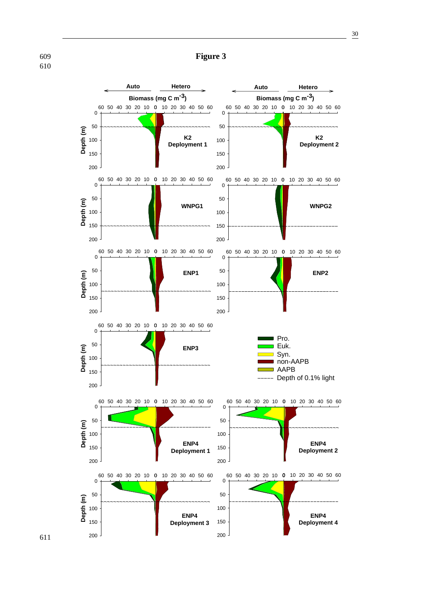

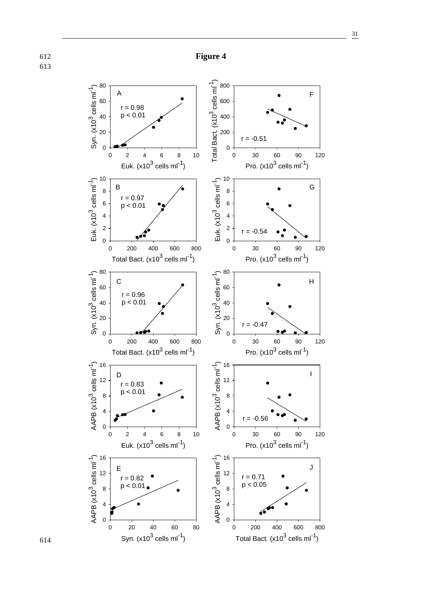